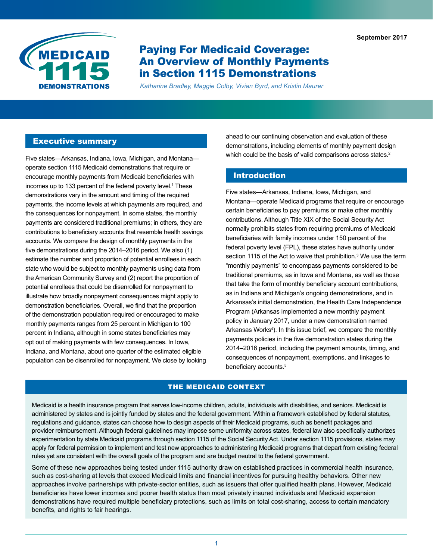**September 2017** 



# Paying For Medicaid Coverage: An Overview of Monthly Payments in Section 1115 Demonstrations

*Katharine Bradley, Maggie Colby, Vivian Byrd, and Kristin Maurer* 

#### Executive summary

Five states—Arkansas, Indiana, Iowa, Michigan, and Montana operate section 1115 Medicaid demonstrations that require or encourage monthly payments from Medicaid beneficiaries with incomes up to 133 percent of the federal poverty level.<sup>1</sup> These demonstrations vary in the amount and timing of the required payments, the income levels at which payments are required, and the consequences for nonpayment. In some states, the monthly payments are considered traditional premiums; in others, they are contributions to beneficiary accounts that resemble health savings accounts. We compare the design of monthly payments in the five demonstrations during the 2014–2016 period. We also (1) estimate the number and proportion of potential enrollees in each state who would be subject to monthly payments using data from the American Community Survey and (2) report the proportion of potential enrollees that could be disenrolled for nonpayment to illustrate how broadly nonpayment consequences might apply to demonstration beneficiaries. Overall, we find that the proportion of the demonstration population required or encouraged to make monthly payments ranges from 25 percent in Michigan to 100 percent in Indiana, although in some states beneficiaries may opt out of making payments with few consequences. In Iowa, Indiana, and Montana, about one quarter of the estimated eligible population can be disenrolled for nonpayment. We close by looking

ahead to our continuing observation and evaluation of these demonstrations, including elements of monthly payment design which could be the basis of valid comparisons across states.<sup>2</sup>

# Introduction

Five states—Arkansas, Indiana, Iowa, Michigan, and Montana—operate Medicaid programs that require or encourage certain beneficiaries to pay premiums or make other monthly contributions. Although Title XIX of the Social Security Act normally prohibits states from requiring premiums of Medicaid beneficiaries with family incomes under 150 percent of the federal poverty level (FPL), these states have authority under section 1115 of the Act to waive that prohibition. $^3$  We use the term "monthly payments" to encompass payments considered to be traditional premiums, as in Iowa and Montana, as well as those that take the form of monthly beneficiary account contributions, as in Indiana and Michigan's ongoing demonstrations, and in Arkansas's initial demonstration, the Health Care Independence Program (Arkansas implemented a new monthly payment policy in January 2017, under a new demonstration named Arkansas Works<sup>4</sup>). In this issue brief, we compare the monthly payments policies in the five demonstration states during the 2014–2016 period, including the payment amounts, timing, and consequences of nonpayment, exemptions, and linkages to beneficiary accounts.<sup>5</sup>

#### THE MEDICAID CONTEXT

Medicaid is a health insurance program that serves low-income children, adults, individuals with disabilities, and seniors. Medicaid is administered by states and is jointly funded by states and the federal government. Within a framework established by federal statutes, regulations and guidance, states can choose how to design aspects of their Medicaid programs, such as benefit packages and provider reimbursement. Although federal guidelines may impose some uniformity across states, federal law also specifically authorizes experimentation by state Medicaid programs through section 1115 of the Social Security Act. Under section 1115 provisions, states may apply for federal permission to implement and test new approaches to administering Medicaid programs that depart from existing federal rules yet are consistent with the overall goals of the program and are budget neutral to the federal government.

Some of these new approaches being tested under 1115 authority draw on established practices in commercial health insurance, such as cost-sharing at levels that exceed Medicaid limits and financial incentives for pursuing healthy behaviors. Other new approaches involve partnerships with private-sector entities, such as issuers that offer qualified health plans. However, Medicaid beneficiaries have lower incomes and poorer health status than most privately insured individuals and Medicaid expansion demonstrations have required multiple beneficiary protections, such as limits on total cost-sharing, access to certain mandatory benefits, and rights to fair hearings.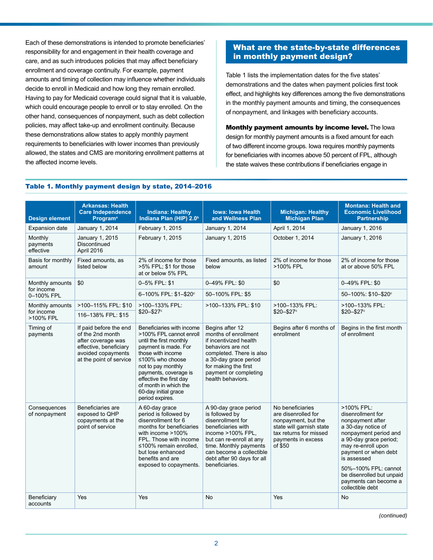Each of these demonstrations is intended to promote beneficiaries' responsibility for and engagement in their health coverage and care, and as such introduces policies that may affect beneficiary enrollment and coverage continuity. For example, payment amounts and timing of collection may influence whether individuals decide to enroll in Medicaid and how long they remain enrolled. Having to pay for Medicaid coverage could signal that it is valuable, which could encourage people to enroll or to stay enrolled. On the other hand, consequences of nonpayment, such as debt collection policies, may affect take-up and enrollment continuity. Because these demonstrations allow states to apply monthly payment requirements to beneficiaries with lower incomes than previously allowed, the states and CMS are monitoring enrollment patterns at the affected income levels.

# What are the state-by-state differences in monthly payment design?

Table 1 lists the implementation dates for the five states' demonstrations and the dates when payment policies first took effect, and highlights key differences among the five demonstrations in the monthly payment amounts and timing, the consequences of nonpayment, and linkages with beneficiary accounts.

Monthly payment amounts by income level. The Iowa design for monthly payment amounts is a fixed amount for each of two different income groups. Iowa requires monthly payments for beneficiaries with incomes above 50 percent of FPL, although the state waives these contributions if beneficiaries engage in

#### Table 1. Monthly payment design by state, 2014–2016

| <b>Design element</b>            | <b>Arkansas: Health</b><br><b>Care Independence</b><br><b>Program</b> <sup>a</sup>                                                          | <b>Indiana: Healthy</b><br>Indiana Plan (HIP) 2.0 <sup>b</sup>                                                                                                                                                                                                                                 | <b>Iowa: Iowa Health</b><br>and Wellness Plan                                                                                                                                                                                             | <b>Michigan: Healthy</b><br><b>Michigan Plan</b>                                                                                                      | <b>Montana: Health and</b><br><b>Economic Livelihood</b><br><b>Partnership</b>                                                                                                                                                                                                              |
|----------------------------------|---------------------------------------------------------------------------------------------------------------------------------------------|------------------------------------------------------------------------------------------------------------------------------------------------------------------------------------------------------------------------------------------------------------------------------------------------|-------------------------------------------------------------------------------------------------------------------------------------------------------------------------------------------------------------------------------------------|-------------------------------------------------------------------------------------------------------------------------------------------------------|---------------------------------------------------------------------------------------------------------------------------------------------------------------------------------------------------------------------------------------------------------------------------------------------|
| <b>Expansion date</b>            | January 1, 2014                                                                                                                             | February 1, 2015                                                                                                                                                                                                                                                                               | January 1, 2014                                                                                                                                                                                                                           | April 1, 2014                                                                                                                                         | January 1, 2016                                                                                                                                                                                                                                                                             |
| Monthly<br>payments<br>effective | January 1, 2015<br><b>Discontinued</b><br>April 2016                                                                                        | February 1, 2015                                                                                                                                                                                                                                                                               | January 1, 2015                                                                                                                                                                                                                           | October 1, 2014                                                                                                                                       | January 1, 2016                                                                                                                                                                                                                                                                             |
| Basis for monthly<br>amount      | Fixed amounts, as<br>listed below                                                                                                           | 2% of income for those<br>>5% FPL; \$1 for those<br>at or below 5% FPL                                                                                                                                                                                                                         | Fixed amounts, as listed<br>below                                                                                                                                                                                                         | 2% of income for those<br>>100% FPL                                                                                                                   | 2% of income for those<br>at or above 50% FPL                                                                                                                                                                                                                                               |
| Monthly amounts                  | \$0                                                                                                                                         | 0-5% FPL: \$1                                                                                                                                                                                                                                                                                  | 0-49% FPL: \$0                                                                                                                                                                                                                            | \$0                                                                                                                                                   | 0-49% FPL: \$0                                                                                                                                                                                                                                                                              |
| for income<br>0-100% FPL         |                                                                                                                                             | 6-100% FPL: \$1-\$20°                                                                                                                                                                                                                                                                          | 50-100% FPL: \$5                                                                                                                                                                                                                          |                                                                                                                                                       | 50-100%: \$10-\$20°                                                                                                                                                                                                                                                                         |
| Monthly amounts                  | >100-115% FPL: \$10                                                                                                                         | >100-133% FPL:                                                                                                                                                                                                                                                                                 | >100-133% FPL: \$10                                                                                                                                                                                                                       | >100-133% FPL:<br>$$20 - $27$ °                                                                                                                       | >100-133% FPL:                                                                                                                                                                                                                                                                              |
| for income<br>>100% FPL          | 116-138% FPL: \$15                                                                                                                          | $$20 - $27$ °                                                                                                                                                                                                                                                                                  |                                                                                                                                                                                                                                           |                                                                                                                                                       | $$20 - $27$ °                                                                                                                                                                                                                                                                               |
| Timing of<br>payments            | If paid before the end<br>of the 2nd month<br>after coverage was<br>effective, beneficiary<br>avoided copayments<br>at the point of service | Beneficiaries with income<br>>100% FPL cannot enroll<br>until the first monthly<br>payment is made. For<br>those with income<br>≤100% who choose<br>not to pay monthly<br>payments, coverage is<br>effective the first day<br>of month in which the<br>60-day initial grace<br>period expires. | Begins after 12<br>months of enrollment<br>if incentivized health<br>behaviors are not<br>completed. There is also<br>a 30-day grace period<br>for making the first<br>payment or completing<br>health behaviors.                         | Begins after 6 months of<br>enrollment                                                                                                                | Begins in the first month<br>of enrollment                                                                                                                                                                                                                                                  |
| Consequences<br>of nonpayment    | Beneficiaries are<br>exposed to QHP<br>copayments at the<br>point of service                                                                | A 60-day grace<br>period is followed by<br>disenrollment for 6<br>months for beneficiaries<br>with income >100%<br>FPL. Those with income<br>≤100% remain enrolled,<br>but lose enhanced<br>benefits and are<br>exposed to copayments.                                                         | A 90-day grace period<br>is followed by<br>disenrollment for<br>beneficiaries with<br>income >100% FPL.<br>but can re-enroll at any<br>time. Monthly payments<br>can become a collectible<br>debt after 90 days for all<br>beneficiaries. | No beneficiaries<br>are disenrolled for<br>nonpayment, but the<br>state will garnish state<br>tax returns for missed<br>payments in excess<br>of \$50 | >100% FPL:<br>disenrollment for<br>nonpayment after<br>a 30-day notice of<br>nonpayment period and<br>a 90-day grace period;<br>may re-enroll upon<br>payment or when debt<br>is assessed<br>50%-100% FPL: cannot<br>be disenrolled but unpaid<br>payments can become a<br>collectible debt |
| Beneficiary<br>accounts          | Yes                                                                                                                                         | Yes                                                                                                                                                                                                                                                                                            | No                                                                                                                                                                                                                                        | Yes                                                                                                                                                   | <b>No</b>                                                                                                                                                                                                                                                                                   |

*(continued)*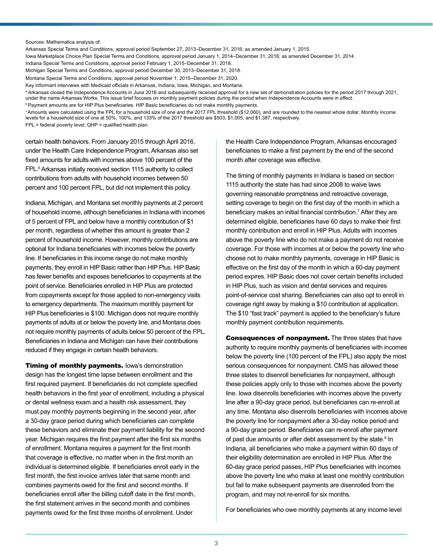#### Sources: Mathematica analysis of:

Arkansas Special Terms and Conditions, approval period September 27, 2013–December 31, 2016; as amended January 1, 2015.

Iowa Marketplace Choice Plan Special Terms and Conditions, approval period January 1, 2014–December 31, 2016; as amended December 31, 2014.

Indiana Special Terms and Conditions, approval period February 1, 2015–December 31, 2018.

Michigan Special Terms and Conditions, approval period December 30, 2013–December 31, 2018.

Montana Special Terms and Conditions, approval period November 1, 2015–December 31, 2020. Key informant interviews with Medicaid officials in Arkansas, Indiana, Iowa, Michigan, and Montana.

<sup>a</sup> Arkansas closed the Independence Accounts in June 2016 and subsequently received approval for a new set of demonstration policies for the period 2017 through 2021. under the name Arkansas Works. This issue brief focuses on monthly payment policies during the period when Independence Accounts were in effect.

**Payment amounts are for HIP Plus beneficiaries. HIP Basic beneficiaries do not make monthly payments.** 

<sup>c</sup>Amounts were calculated using the FPL for a household size of one and the 2017 FPL threshold (\$12,060), and are rounded to the nearest whole dollar. Monthly income levels for a household size of one at 50%, 100%, and 133% of the 2017 threshold are \$503, \$1,005, and \$1,387, respectively.

FPL = federal poverty level; QHP = qualified health plan.

certain health behaviors. From January 2015 through April 2016, under the Health Care Independence Program, Arkansas also set fixed amounts for adults with incomes above 100 percent of the FPL.6 Arkansas initially received section 1115 authority to collect contributions from adults with household incomes between 50 percent and 100 percent FPL, but did not implement this policy.

Indiana, Michigan, and Montana set monthly payments at 2 percent of household income, although beneficiaries in Indiana with incomes of 5 percent of FPL and below have a monthly contribution of \$1 per month, regardless of whether this amount is greater than 2 percent of household income. However, monthly contributions are optional for Indiana beneficiaries with incomes below the poverty line. If beneficiaries in this income range do not make monthly payments, they enroll in HIP Basic rather than HIP Plus. HIP Basic has fewer benefits and exposes beneficiaries to copayments at the point of service. Beneficiaries enrolled in HIP Plus are protected from copayments except for those applied to non-emergency visits to emergency departments. The maximum monthly payment for HIP Plus beneficiaries is \$100. Michigan does not require monthly payments of adults at or below the poverty line, and Montana does not require monthly payments of adults below 50 percent of the FPL. Beneficiaries in Indiana and Michigan can have their contributions reduced if they engage in certain health behaviors.

**Timing of monthly payments. lowa's demonstration** design has the longest time lapse between enrollment and the first required payment. If beneficiaries do not complete specified health behaviors in the first year of enrollment, including a physical or dental wellness exam and a health risk assessment, they must pay monthly payments beginning in the second year, after a 30-day grace period during which beneficiaries can complete these behaviors and eliminate their payment liability for the second year. Michigan requires the first payment after the first six months of enrollment. Montana requires a payment for the first month that coverage is effective, no matter when in the first month an individual is determined eligible. If beneficiaries enroll early in the first month, the first invoice arrives later that same month and combines payments owed for the first and second months. If beneficiaries enroll after the billing cutoff date in the first month, the first statement arrives in the second month and combines payments owed for the first three months of enrollment. Under

the Health Care Independence Program, Arkansas encouraged beneficiaries to make a first payment by the end of the second month after coverage was effective.

The timing of monthly payments in Indiana is based on section 1115 authority the state has had since 2008 to waive laws governing reasonable promptness and retroactive coverage, setting coverage to begin on the first day of the month in which a beneficiary makes an initial financial contribution.7 After they are determined eligible, beneficiaries have 60 days to make their first monthly contribution and enroll in HIP Plus. Adults with incomes above the poverty line who do not make a payment do not receive coverage. For those with incomes at or below the poverty line who choose not to make monthly payments, coverage in HIP Basic is effective on the first day of the month in which a 60-day payment period expires. HIP Basic does not cover certain benefits included in HIP Plus, such as vision and dental services and requires point-of-service cost sharing. Beneficiaries can also opt to enroll in coverage right away by making a \$10 contribution at application. The \$10 "fast track" payment is applied to the beneficiary's future monthly payment contribution requirements.

Consequences of nonpayment. The three states that have authority to require monthly payments of beneficiaries with incomes below the poverty line (100 percent of the FPL) also apply the most serious consequences for nonpayment. CMS has allowed these three states to disenroll beneficiaries for nonpayment, although these policies apply only to those with incomes above the poverty line. Iowa disenrolls beneficiaries with incomes above the poverty line after a 90-day grace period, but beneficiaries can re-enroll at any time. Montana also disenrolls beneficiaries with incomes above the poverty line for nonpayment after a 30-day notice period and a 90-day grace period. Beneficiaries can re-enroll after payment of past due amounts or after debt assessment by the state.<sup>8</sup> In Indiana, all beneficiaries who make a payment within 60 days of their eligibility determination are enrolled in HIP Plus. After the 60-day grace period passes, HIP Plus beneficiaries with incomes above the poverty line who make at least one monthly contribution but fail to make subsequent payments are disenrolled from the program, and may not re-enroll for six months.

For beneficiaries who owe monthly payments at any income level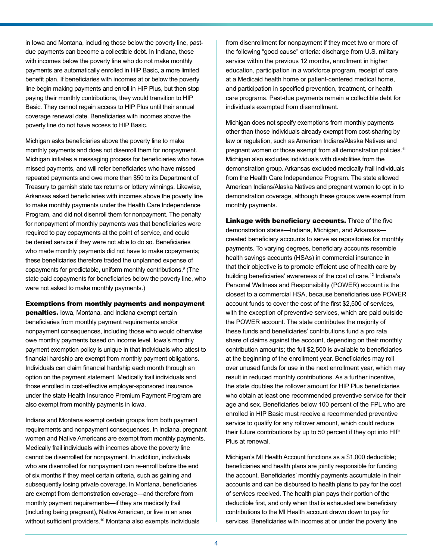in Iowa and Montana, including those below the poverty line, pastdue payments can become a collectible debt. In Indiana, those with incomes below the poverty line who do not make monthly payments are automatically enrolled in HIP Basic, a more limited benefit plan. If beneficiaries with incomes at or below the poverty line begin making payments and enroll in HIP Plus, but then stop paying their monthly contributions, they would transition to HIP Basic. They cannot regain access to HIP Plus until their annual coverage renewal date. Beneficiaries with incomes above the poverty line do not have access to HIP Basic.

Michigan asks beneficiaries above the poverty line to make monthly payments and does not disenroll them for nonpayment. Michigan initiates a messaging process for beneficiaries who have missed payments, and will refer beneficiaries who have missed repeated payments and owe more than \$50 to its Department of Treasury to garnish state tax returns or lottery winnings. Likewise, Arkansas asked beneficiaries with incomes above the poverty line to make monthly payments under the Health Care Independence Program, and did not disenroll them for nonpayment. The penalty for nonpayment of monthly payments was that beneficiaries were required to pay copayments at the point of service, and could be denied service if they were not able to do so. Beneficiaries who made monthly payments did not have to make copayments; these beneficiaries therefore traded the unplanned expense of copayments for predictable, uniform monthly contributions.<sup>9</sup> (The state paid copayments for beneficiaries below the poverty line, who were not asked to make monthly payments.)

#### Exemptions from monthly payments and nonpayment

penalties. Iowa, Montana, and Indiana exempt certain beneficiaries from monthly payment requirements and/or nonpayment consequences, including those who would otherwise owe monthly payments based on income level. Iowa's monthly payment exemption policy is unique in that individuals who attest to financial hardship are exempt from monthly payment obligations. Individuals can claim financial hardship each month through an option on the payment statement. Medically frail individuals and those enrolled in cost-effective employer-sponsored insurance under the state Health Insurance Premium Payment Program are also exempt from monthly payments in Iowa.

Indiana and Montana exempt certain groups from both payment requirements and nonpayment consequences. In Indiana, pregnant women and Native Americans are exempt from monthly payments. Medically frail individuals with incomes above the poverty line cannot be disenrolled for nonpayment. In addition, individuals who are disenrolled for nonpayment can re-enroll before the end of six months if they meet certain criteria, such as gaining and subsequently losing private coverage. In Montana, beneficiaries are exempt from demonstration coverage—and therefore from monthly payment requirements—if they are medically frail (including being pregnant), Native American, or live in an area without sufficient providers.<sup>10</sup> Montana also exempts individuals

from disenrollment for nonpayment if they meet two or more of the following "good cause" criteria: discharge from U.S. military service within the previous 12 months, enrollment in higher education, participation in a workforce program, receipt of care at a Medicaid health home or patient-centered medical home, and participation in specified prevention, treatment, or health care programs. Past-due payments remain a collectible debt for individuals exempted from disenrollment.

Michigan does not specify exemptions from monthly payments other than those individuals already exempt from cost-sharing by law or regulation, such as American Indians/Alaska Natives and pregnant women or those exempt from all demonstration policies.<sup>11</sup> Michigan also excludes individuals with disabilities from the demonstration group. Arkansas excluded medically frail individuals from the Health Care Independence Program. The state allowed American Indians/Alaska Natives and pregnant women to opt in to demonstration coverage, although these groups were exempt from monthly payments.

Linkage with beneficiary accounts. Three of the five demonstration states—Indiana, Michigan, and Arkansas created beneficiary accounts to serve as repositories for monthly payments. To varying degrees, beneficiary accounts resemble health savings accounts (HSAs) in commercial insurance in that their objective is to promote efficient use of health care by building beneficiaries' awareness of the cost of care.12 Indiana's Personal Wellness and Responsibility (POWER) account is the closest to a commercial HSA, because beneficiaries use POWER account funds to cover the cost of the first \$2,500 of services, with the exception of preventive services, which are paid outside the POWER account. The state contributes the majority of these funds and beneficiaries' contributions fund a pro rata share of claims against the account, depending on their monthly contribution amounts; the full \$2,500 is available to beneficiaries at the beginning of the enrollment year. Beneficiaries may roll over unused funds for use in the next enrollment year, which may result in reduced monthly contributions. As a further incentive, the state doubles the rollover amount for HIP Plus beneficiaries who obtain at least one recommended preventive service for their age and sex. Beneficiaries below 100 percent of the FPL who are enrolled in HIP Basic must receive a recommended preventive service to qualify for any rollover amount, which could reduce their future contributions by up to 50 percent if they opt into HIP Plus at renewal.

Michigan's MI Health Account functions as a \$1,000 deductible; beneficiaries and health plans are jointly responsible for funding the account. Beneficiaries' monthly payments accumulate in their accounts and can be disbursed to health plans to pay for the cost of services received. The health plan pays their portion of the deductible first, and only when that is exhausted are beneficiary contributions to the MI Health account drawn down to pay for services. Beneficiaries with incomes at or under the poverty line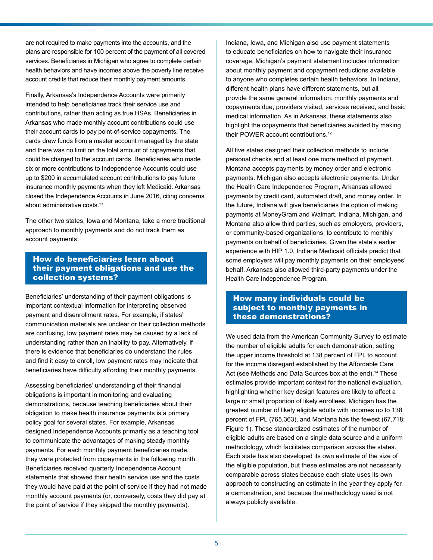are not required to make payments into the accounts, and the plans are responsible for 100 percent of the payment of all covered services. Beneficiaries in Michigan who agree to complete certain health behaviors and have incomes above the poverty line receive account credits that reduce their monthly payment amounts.

Finally, Arkansas's Independence Accounts were primarily intended to help beneficiaries track their service use and contributions, rather than acting as true HSAs. Beneficiaries in Arkansas who made monthly account contributions could use their account cards to pay point-of-service copayments. The cards drew funds from a master account managed by the state and there was no limit on the total amount of copayments that could be charged to the account cards. Beneficiaries who made six or more contributions to Independence Accounts could use up to \$200 in accumulated account contributions to pay future insurance monthly payments when they left Medicaid. Arkansas closed the Independence Accounts in June 2016, citing concerns about administrative costs.13

The other two states, Iowa and Montana, take a more traditional approach to monthly payments and do not track them as account payments.

## How do beneficiaries learn about their payment obligations and use the collection systems?

Beneficiaries' understanding of their payment obligations is important contextual information for interpreting observed payment and disenrollment rates. For example, if states' communication materials are unclear or their collection methods are confusing, low payment rates may be caused by a lack of understanding rather than an inability to pay. Alternatively, if there is evidence that beneficiaries do understand the rules and find it easy to enroll, low payment rates may indicate that beneficiaries have difficulty affording their monthly payments.

Assessing beneficiaries' understanding of their financial obligations is important in monitoring and evaluating demonstrations, because teaching beneficiaries about their obligation to make health insurance payments is a primary policy goal for several states. For example, Arkansas designed Independence Accounts primarily as a teaching tool to communicate the advantages of making steady monthly payments. For each monthly payment beneficiaries made, they were protected from copayments in the following month. Beneficiaries received quarterly Independence Account statements that showed their health service use and the costs they would have paid at the point of service if they had not made monthly account payments (or, conversely, costs they did pay at the point of service if they skipped the monthly payments).

Indiana, Iowa, and Michigan also use payment statements to educate beneficiaries on how to navigate their insurance coverage. Michigan's payment statement includes information about monthly payment and copayment reductions available to anyone who completes certain health behaviors. In Indiana, different health plans have different statements, but all provide the same general information: monthly payments and copayments due, providers visited, services received, and basic medical information. As in Arkansas, these statements also highlight the copayments that beneficiaries avoided by making their POWER account contributions.<sup>12</sup>

 behalf. Arkansas also allowed third-party payments under the All five states designed their collection methods to include personal checks and at least one more method of payment. Montana accepts payments by money order and electronic payments. Michigan also accepts electronic payments. Under the Health Care Independence Program, Arkansas allowed payments by credit card, automated draft, and money order. In the future, Indiana will give beneficiaries the option of making payments at MoneyGram and Walmart. Indiana, Michigan, and Montana also allow third parties, such as employers, providers, or community-based organizations, to contribute to monthly payments on behalf of beneficiaries. Given the state's earlier experience with HIP 1.0, Indiana Medicaid officials predict that some employers will pay monthly payments on their employees' Health Care Independence Program.

# How many individuals could be subject to monthly payments in these demonstrations?

We used data from the American Community Survey to estimate the number of eligible adults for each demonstration, setting the upper income threshold at 138 percent of FPL to account for the income disregard established by the Affordable Care Act (see Methods and Data Sources box at the end).<sup>14</sup> These estimates provide important context for the national evaluation, highlighting whether key design features are likely to affect a large or small proportion of likely enrollees. Michigan has the greatest number of likely eligible adults with incomes up to 138 percent of FPL (765,363), and Montana has the fewest (67,718; Figure 1). These standardized estimates of the number of eligible adults are based on a single data source and a uniform methodology, which facilitates comparison across the states. Each state has also developed its own estimate of the size of the eligible population, but these estimates are not necessarily comparable across states because each state uses its own approach to constructing an estimate in the year they apply for a demonstration, and because the methodology used is not always publicly available.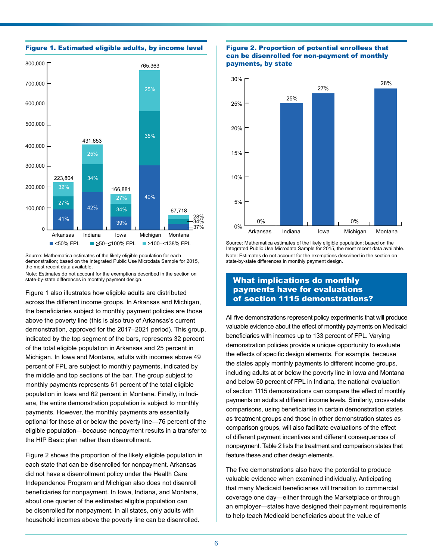

Source: Mathematica estimates of the likely eligible population for each demonstration; based on the Integrated Public Use Microdata Sample for 2015, the most recent data available.

Note: Estimates do not account for the exemptions described in the section on state-by-state differences in monthly payment design.

Figure 1 also illustrates how eligible adults are distributed across the different income groups. In Arkansas and Michigan, the beneficiaries subject to monthly payment policies are those above the poverty line (this is also true of Arkansas's current demonstration, approved for the 2017–2021 period). This group, indicated by the top segment of the bars, represents 32 percent of the total eligible population in Arkansas and 25 percent in Michigan. In Iowa and Montana, adults with incomes above 49 percent of FPL are subject to monthly payments, indicated by the middle and top sections of the bar. The group subject to monthly payments represents 61 percent of the total eligible population in Iowa and 62 percent in Montana. Finally, in Indiana, the entire demonstration population is subject to monthly payments. However, the monthly payments are essentially optional for those at or below the poverty line—76 percent of the eligible population—because nonpayment results in a transfer to the HIP Basic plan rather than disenrollment.

Figure 2 shows the proportion of the likely eligible population in each state that can be disenrolled for nonpayment. Arkansas did not have a disenrollment policy under the Health Care Independence Program and Michigan also does not disenroll beneficiaries for nonpayment. In Iowa, Indiana, and Montana, about one quarter of the estimated eligible population can be disenrolled for nonpayment. In all states, only adults with household incomes above the poverty line can be disenrolled.

#### Figure 2. Proportion of potential enrollees that can be disenrolled for non-payment of monthly payments, by state



Source: Mathematica estimates of the likely eligible population; based on the Integrated Public Use Microdata Sample for 2015, the most recent data available. Note: Estimates do not account for the exemptions described in the section on state-by-state differences in monthly payment design.

## What implications do monthly payments have for evaluations of section 1115 demonstrations?

 beneficiaries with incomes up to 133 percent of FPL. Varying of section 1115 demonstrations can compare the effect of monthly payments on adults at different income levels. Similarly, cross-state All five demonstrations represent policy experiments that will produce valuable evidence about the effect of monthly payments on Medicaid demonstration policies provide a unique opportunity to evaluate the effects of specific design elements. For example, because the states apply monthly payments to different income groups, including adults at or below the poverty line in Iowa and Montana and below 50 percent of FPL in Indiana, the national evaluation comparisons, using beneficiaries in certain demonstration states as treatment groups and those in other demonstration states as comparison groups, will also facilitate evaluations of the effect of different payment incentives and different consequences of nonpayment. Table 2 lists the treatment and comparison states that feature these and other design elements.

The five demonstrations also have the potential to produce valuable evidence when examined individually. Anticipating that many Medicaid beneficiaries will transition to commercial coverage one day—either through the Marketplace or through an employer—states have designed their payment requirements to help teach Medicaid beneficiaries about the value of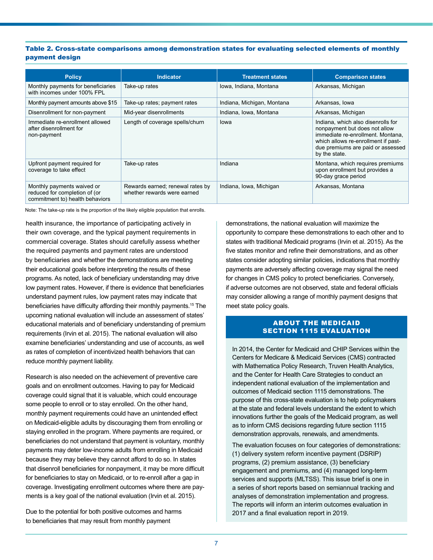#### Table 2. Cross-state comparisons among demonstration states for evaluating selected elements of monthly payment design

| <b>Policy</b>                                                                                  | <b>Indicator</b>                                                | <b>Treatment states</b>    | <b>Comparison states</b>                                                                                                                                                                              |
|------------------------------------------------------------------------------------------------|-----------------------------------------------------------------|----------------------------|-------------------------------------------------------------------------------------------------------------------------------------------------------------------------------------------------------|
| Monthly payments for beneficiaries<br>with incomes under 100% FPL                              | Take-up rates                                                   | Iowa, Indiana, Montana     | Arkansas, Michigan                                                                                                                                                                                    |
| Monthly payment amounts above \$15                                                             | Take-up rates; payment rates                                    | Indiana, Michigan, Montana | Arkansas, Iowa                                                                                                                                                                                        |
| Disenrollment for non-payment                                                                  | Mid-year disenrollments                                         | Indiana, Iowa, Montana     | Arkansas, Michigan                                                                                                                                                                                    |
| Immediate re-enrollment allowed<br>after disenrollment for<br>non-payment                      | Length of coverage spells/churn                                 | lowa                       | Indiana, which also disenrolls for<br>nonpayment but does not allow<br>immediate re-enrollment. Montana,<br>which allows re-enrollment if past-<br>due premiums are paid or assessed<br>by the state. |
| Upfront payment required for<br>coverage to take effect                                        | Take-up rates                                                   | Indiana                    | Montana, which requires premiums<br>upon enrollment but provides a<br>90-day grace period                                                                                                             |
| Monthly payments waived or<br>reduced for completion of (or<br>commitment to) health behaviors | Rewards earned; renewal rates by<br>whether rewards were earned | Indiana, Iowa, Michigan    | Arkansas, Montana                                                                                                                                                                                     |

Note: The take-up rate is the proportion of the likely eligible population that enrolls.

health insurance, the importance of participating actively in their own coverage, and the typical payment requirements in commercial coverage. States should carefully assess whether the required payments and payment rates are understood by beneficiaries and whether the demonstrations are meeting their educational goals before interpreting the results of these programs. As noted, lack of beneficiary understanding may drive low payment rates. However, if there is evidence that beneficiaries understand payment rules, low payment rates may indicate that beneficiaries have difficulty affording their monthly payments.15 The upcoming national evaluation will include an assessment of states' educational materials and of beneficiary understanding of premium requirements (Irvin et al. 2015). The national evaluation will also examine beneficiaries' understanding and use of accounts, as well as rates of completion of incentivized health behaviors that can reduce monthly payment liability.

Research is also needed on the achievement of preventive care goals and on enrollment outcomes. Having to pay for Medicaid coverage could signal that it is valuable, which could encourage some people to enroll or to stay enrolled. On the other hand, monthly payment requirements could have an unintended effect on Medicaid-eligible adults by discouraging them from enrolling or staying enrolled in the program. Where payments are required, or beneficiaries do not understand that payment is voluntary, monthly payments may deter low-income adults from enrolling in Medicaid because they may believe they cannot afford to do so. In states that disenroll beneficiaries for nonpayment, it may be more difficult for beneficiaries to stay on Medicaid, or to re-enroll after a gap in coverage. Investigating enrollment outcomes where there are payments is a key goal of the national evaluation (Irvin et al. 2015).

Due to the potential for both positive outcomes and harms to beneficiaries that may result from monthly payment

demonstrations, the national evaluation will maximize the opportunity to compare these demonstrations to each other and to states with traditional Medicaid programs (Irvin et al. 2015). As the five states monitor and refine their demonstrations, and as other states consider adopting similar policies, indications that monthly payments are adversely affecting coverage may signal the need for changes in CMS policy to protect beneficiaries. Conversely, if adverse outcomes are not observed, state and federal officials may consider allowing a range of monthly payment designs that meet state policy goals.

#### SECTION 1115 EVALUATION ABOUT THE MEDICAID

In 2014, the Center for Medicaid and CHIP Services within the Centers for Medicare & Medicaid Services (CMS) contracted with Mathematica Policy Research, Truven Health Analytics, and the Center for Health Care Strategies to conduct an independent national evaluation of the implementation and outcomes of Medicaid section 1115 demonstrations. The purpose of this cross-state evaluation is to help policymakers at the state and federal levels understand the extent to which innovations further the goals of the Medicaid program, as well as to inform CMS decisions regarding future section 1115 demonstration approvals, renewals, and amendments.

The evaluation focuses on four categories of demonstrations: (1) delivery system reform incentive payment (DSRIP) programs, (2) premium assistance, (3) beneficiary engagement and premiums, and (4) managed long-term services and supports (MLTSS). This issue brief is one in a series of short reports based on semiannual tracking and analyses of demonstration implementation and progress. The reports will inform an interim outcomes evaluation in 2017 and a final evaluation report in 2019.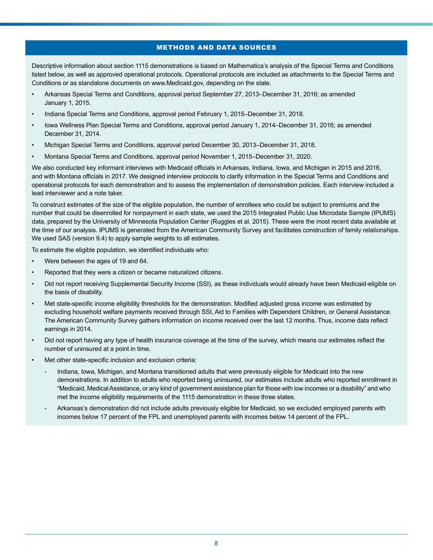#### METHODS AND DATA SOURCES

Descriptive information about section 1115 demonstrations is based on Mathematica's analysis of the Special Terms and Conditions listed below, as well as approved operational protocols. Operational protocols are included as attachments to the Special Terms and Conditions or as standalone documents on www.Medicaid.gov, depending on the state.

- Arkansas Special Terms and Conditions, approval period September 27, 2013–December 31, 2016; as amended January 1, 2015.
- Indiana Special Terms and Conditions, approval period February 1, 2015–December 31, 2018.
- Iowa Wellness Plan Special Terms and Conditions, approval period January 1, 2014–December 31, 2016; as amended December 31, 2014.
- Michigan Special Terms and Conditions, approval period December 30, 2013–December 31, 2018.
- Montana Special Terms and Conditions, approval period November 1, 2015–December 31, 2020.

We also conducted key informant interviews with Medicaid officials in Arkansas, Indiana, Iowa, and Michigan in 2015 and 2016, and with Montana officials in 2017. We designed interview protocols to clarify information in the Special Terms and Conditions and operational protocols for each demonstration and to assess the implementation of demonstration policies. Each interview included a lead interviewer and a note taker.

To construct estimates of the size of the eligible population, the number of enrollees who could be subject to premiums and the number that could be disenrolled for nonpayment in each state, we used the 2015 Integrated Public Use Microdata Sample (IPUMS) data, prepared by the University of Minnesota Population Center (Ruggles et al. 2015). These were the most recent data available at the time of our analysis. IPUMS is generated from the American Community Survey and facilitates construction of family relationships. We used SAS (version 9.4) to apply sample weights to all estimates.

To estimate the eligible population, we identified individuals who:

- Were between the ages of 19 and 64.
- Reported that they were a citizen or became naturalized citizens.
- Did not report receiving Supplemental Security Income (SSI), as these individuals would already have been Medicaid-eligible on the basis of disability.
- Met state-specific income eligibility thresholds for the demonstration. Modified adjusted gross income was estimated by excluding household welfare payments received through SSI, Aid to Families with Dependent Children, or General Assistance. The American Community Survey gathers information on income received over the last 12 months. Thus, income data reflect earnings in 2014.
- Did not report having any type of health insurance coverage at the time of the survey, which means our estimates reflect the number of uninsured at a point in time.
- Met other state-specific inclusion and exclusion criteria:
	- Indiana, Iowa, Michigan, and Montana transitioned adults that were previously eligible for Medicaid into the new demonstrations. In addition to adults who reported being uninsured, our estimates include adults who reported enrollment in "Medicaid, Medical Assistance, or any kind of government assistance plan for those with low incomes or a disability" and who met the income eligibility requirements of the 1115 demonstration in these three states.
	- Arkansas's demonstration did not include adults previously eligible for Medicaid, so we excluded employed parents with incomes below 17 percent of the FPL and unemployed parents with incomes below 14 percent of the FPL.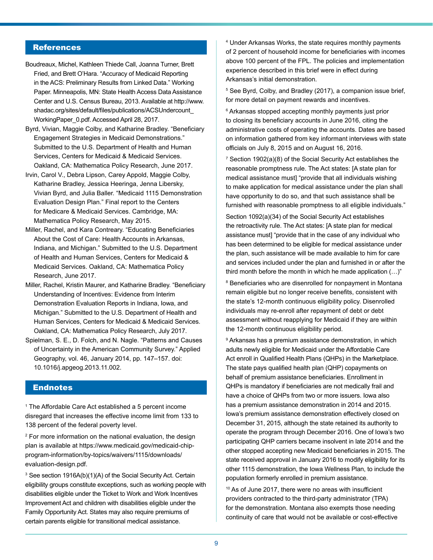# **References**

- Boudreaux, Michel, Kathleen Thiede Call, Joanna Turner, Brett Fried, and Brett O'Hara. "Accuracy of Medicaid Reporting in the ACS: Preliminary Results from Linked Data." Working Paper. Minneapolis, MN: State Health Access Data Assistance Center and U.S. Census Bureau, 2013. Available at [http://www.](http://www.shadac.org/sites/default/files/publications/ACSUndercount_WorkingPaper_0.pdf) [shadac.org/sites/default/files/publications/ACSUndercount\\_](http://www.shadac.org/sites/default/files/publications/ACSUndercount_WorkingPaper_0.pdf) WorkingPaper 0.pdf. Accessed April 28, 2017.
- Byrd, Vivian, Maggie Colby, and Katharine Bradley. "Beneficiary Engagement Strategies in Medicaid Demonstrations." Submitted to the U.S. Department of Health and Human Services, Centers for Medicaid & Medicaid Services. Oakland, CA: Mathematica Policy Research, June 2017.
- Irvin, Carol V., Debra Lipson, Carey Appold, Maggie Colby, Katharine Bradley, Jessica Heeringa, Jenna Libersky, Vivian Byrd, and Julia Baller. "Medicaid 1115 Demonstration Evaluation Design Plan." Final report to the Centers for Medicare & Medicaid Services. Cambridge, MA: Mathematica Policy Research, May 2015.
- Miller, Rachel, and Kara Contreary. "Educating Beneficiaries About the Cost of Care: Health Accounts in Arkansas, Indiana, and Michigan." Submitted to the U.S. Department of Health and Human Services, Centers for Medicaid & Medicaid Services. Oakland, CA: Mathematica Policy Research, June 2017.
- Miller, Rachel, Kristin Maurer, and Katharine Bradley. "Beneficiary Understanding of Incentives: Evidence from Interim Demonstration Evaluation Reports in Indiana, Iowa, and Michigan." Submitted to the U.S. Department of Health and Human Services, Centers for Medicaid & Medicaid Services. Oakland, CA: Mathematica Policy Research, July 2017.
- Spielman, S. E., D. Folch, and N. Nagle. "Patterns and Causes of Uncertainty in the American Community Survey." Applied Geography, vol. 46, January 2014, pp. 147–157. doi: 10.1016/j.apgeog.2013.11.002.

#### **Endnotes**

<sup>1</sup> The Affordable Care Act established a 5 percent income disregard that increases the effective income limit from 133 to 138 percent of the federal poverty level.

2 For more information on the national evaluation, the design plan is available at https://www.medicaid.gov/medicaid-chipprogram-information/by-topics/waivers/1115/downloads/ evaluation-design.pdf.

<sup>3</sup> See section 1916A(b)(1)(A) of the Social Security Act. Certain eligibility groups constitute exceptions, such as working people with disabilities eligible under the Ticket to Work and Work Incentives Improvement Act and children with disabilities eligible under the Family Opportunity Act. States may also require premiums of certain parents eligible for transitional medical assistance.

4 Under Arkansas Works, the state requires monthly payments of 2 percent of household income for beneficiaries with incomes above 100 percent of the FPL. The policies and implementation experience described in this brief were in effect during Arkansas's initial demonstration.

5 See Byrd, Colby, and Bradley (2017), a companion issue brief, for more detail on payment rewards and incentives.

<sup>6</sup> Arkansas stopped accepting monthly payments just prior to closing its beneficiary accounts in June 2016, citing the administrative costs of operating the accounts. Dates are based on information gathered from key informant interviews with state officials on July 8, 2015 and on August 16, 2016.

 $^7$  Section 1902(a)(8) of the Social Security Act establishes the reasonable promptness rule. The Act states: [A state plan for medical assistance must] "provide that all individuals wishing to make application for medical assistance under the plan shall have opportunity to do so, and that such assistance shall be furnished with reasonable promptness to all eligible individuals."

Section 1092(a)(34) of the Social Security Act establishes the retroactivity rule. The Act states: [A state plan for medical assistance must] "provide that in the case of any individual who has been determined to be eligible for medical assistance under the plan, such assistance will be made available to him for care and services included under the plan and furnished in or after the third month before the month in which he made application (…)"

 $\mathrm{^8}$  Beneficiaries who are disenrolled for nonpayment in Montana remain eligible but no longer receive benefits, consistent with the state's 12-month continuous eligibility policy. Disenrolled individuals may re-enroll after repayment of debt or debt assessment without reapplying for Medicaid if they are within the 12-month continuous eligibility period.

<sup>9</sup> Arkansas has a premium assistance demonstration, in which adults newly eligible for Medicaid under the Affordable Care Act enroll in Qualified Health Plans (QHPs) in the Marketplace. The state pays qualified health plan (QHP) copayments on behalf of premium assistance beneficiaries. Enrollment in QHPs is mandatory if beneficiaries are not medically frail and have a choice of QHPs from two or more issuers. Iowa also has a premium assistance demonstration in 2014 and 2015. Iowa's premium assistance demonstration effectively closed on December 31, 2015, although the state retained its authority to operate the program through December 2016. One of Iowa's two participating QHP carriers became insolvent in late 2014 and the other stopped accepting new Medicaid beneficiaries in 2015. The state received approval in January 2016 to modify eligibility for its other 1115 demonstration, the Iowa Wellness Plan, to include the population formerly enrolled in premium assistance.

 $10$  As of June 2017, there were no areas with insufficient providers contracted to the third-party administrator (TPA) for the demonstration. Montana also exempts those needing continuity of care that would not be available or cost-effective